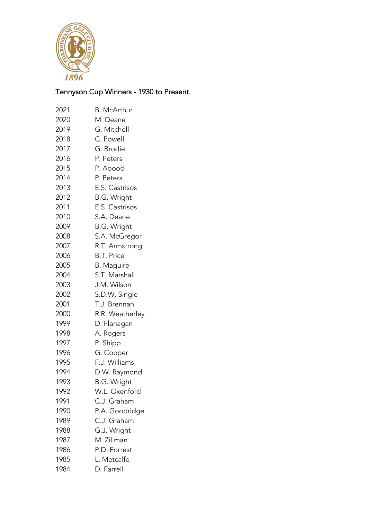

## Tennyson Cup Winners - 1930 to Present.

| 2021 | <b>B.</b> McArthur |
|------|--------------------|
| 2020 | M. Deane           |
| 2019 | G. Mitchell        |
| 2018 | C. Powell          |
| 2017 | G. Brodie          |
| 2016 | P. Peters          |
| 2015 | P. Abood           |
| 2014 | P. Peters          |
| 2013 | E.S. Castrisos     |
| 2012 | <b>B.G. Wright</b> |
| 2011 | E.S. Castrisos     |
| 2010 | S.A. Deane         |
| 2009 | B.G. Wright        |
| 2008 | S.A. McGregor      |
| 2007 | R.T. Armstrong     |
| 2006 | <b>B.T. Price</b>  |
| 2005 | <b>B.</b> Maguire  |
| 2004 | S.T. Marshall      |
| 2003 | J.M. Wilson        |
| 2002 | S.D.W. Single      |
| 2001 | T.J. Brennan       |
| 2000 | R.R. Weatherley    |
| 1999 | D. Flanagan        |
| 1998 | A. Rogers          |
| 1997 | P. Shipp           |
| 1996 | G. Cooper          |
| 1995 | F.J. Williams      |
| 1994 | D.W. Raymond       |
| 1993 | <b>B.G. Wright</b> |
| 1992 | W.L. Oxenford      |
| 1991 | C.J. Graham        |
| 1990 | P.A. Goodridge     |
| 1989 | C.J. Graham        |
| 1988 | G.J. Wright        |
| 1987 | M. Zillman         |
| 1986 | P.D. Forrest       |
| 1985 | L. Metcalfe        |
| 1984 | D. Farrell         |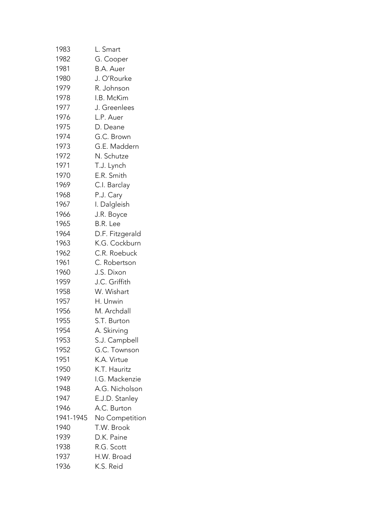| 1983      | L. Smart        |
|-----------|-----------------|
| 1982      | G. Cooper       |
| 1981      | B.A. Auer       |
| 1980      | J. O'Rourke     |
| 1979      | R. Johnson      |
| 1978      | I.B. McKim      |
| 1977      | J. Greenlees    |
| 1976      | L.P. Auer       |
| 1975      | D. Deane        |
| 1974      | G.C. Brown      |
| 1973      | G.E. Maddern    |
| 1972      | N. Schutze      |
| 1971      | T.J. Lynch      |
| 1970      | E.R. Smith      |
| 1969      | C.I. Barclay    |
| 1968      | P.J. Cary       |
| 1967      | I. Dalgleish    |
| 1966      | J.R. Boyce      |
| 1965      | B.R. Lee        |
| 1964      | D.F. Fitzgerald |
| 1963      | K.G. Cockburn   |
| 1962      | C.R. Roebuck    |
| 1961      | C. Robertson    |
| 1960      | J.S. Dixon      |
| 1959      | J.C. Griffith   |
| 1958      | W. Wishart      |
| 1957      | H. Unwin        |
| 1956      | M. Archdall     |
| 1955      | S.T. Burton     |
| 1954      | A. Skirving     |
| 1953      | S.J. Campbell   |
| 1952      | G.C. Townson    |
| 1951      | K.A. Virtue     |
| 1950      | K.T. Hauritz    |
| 1949      | I.G. Mackenzie  |
| 1948      | A.G. Nicholson  |
| 1947      | E.J.D. Stanley  |
| 1946      | A.C. Burton     |
| 1941-1945 | No Competition  |
| 1940      | T.W. Brook      |
| 1939      | D.K. Paine      |
| 1938      | R.G. Scott      |
| 1937      | H.W. Broad      |
| 1936      | K.S. Reid       |